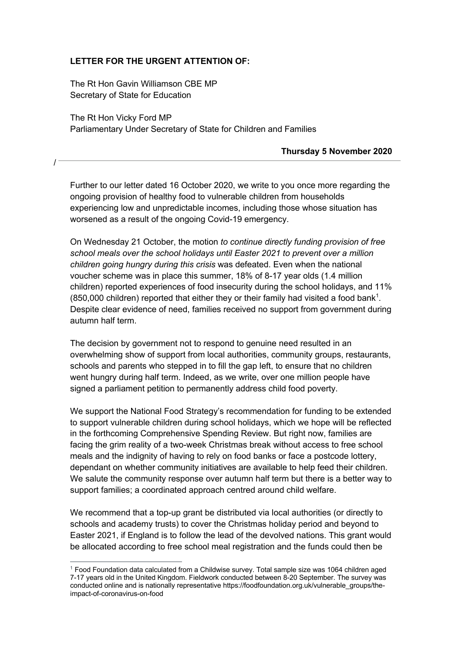## **LETTER FOR THE URGENT ATTENTION OF:**

The Rt Hon Gavin Williamson CBE MP Secretary of State for Education

/

The Rt Hon Vicky Ford MP Parliamentary Under Secretary of State for Children and Families

## **Thursday 5 November 2020**

Further to our letter dated 16 October 2020, we write to you once more regarding the ongoing provision of healthy food to vulnerable children from households experiencing low and unpredictable incomes, including those whose situation has worsened as a result of the ongoing Covid-19 emergency.

On Wednesday 21 October, the motion *to continue directly funding provision of free school meals over the school holidays until Easter 2021 to prevent over a million children going hungry during this crisis* was defeated. Even when the national voucher scheme was in place this summer, 18% of 8-17 year olds (1.4 million children) reported experiences of food insecurity during the school holidays, and 11%  $(850,000$  children) reported that either they or their family had visited a food bank<sup>1</sup>. Despite clear evidence of need, families received no support from government during autumn half term.

The decision by government not to respond to genuine need resulted in an overwhelming show of support from local authorities, community groups, restaurants, schools and parents who stepped in to fill the gap left, to ensure that no children went hungry during half term. Indeed, as we write, over one million people have signed a parliament petition to permanently address child food poverty.

We support the National Food Strategy's recommendation for funding to be extended to support vulnerable children during school holidays, which we hope will be reflected in the forthcoming Comprehensive Spending Review. But right now, families are facing the grim reality of a two-week Christmas break without access to free school meals and the indignity of having to rely on food banks or face a postcode lottery, dependant on whether community initiatives are available to help feed their children. We salute the community response over autumn half term but there is a better way to support families; a coordinated approach centred around child welfare.

We recommend that a top-up grant be distributed via local authorities (or directly to schools and academy trusts) to cover the Christmas holiday period and beyond to Easter 2021, if England is to follow the lead of the devolved nations. This grant would be allocated according to free school meal registration and the funds could then be

<sup>1</sup> Food Foundation data calculated from a Childwise survey. Total sample size was 1064 children aged 7-17 years old in the United Kingdom. Fieldwork conducted between 8-20 September. The survey was conducted online and is nationally representative https://foodfoundation.org.uk/vulnerable\_groups/theimpact-of-coronavirus-on-food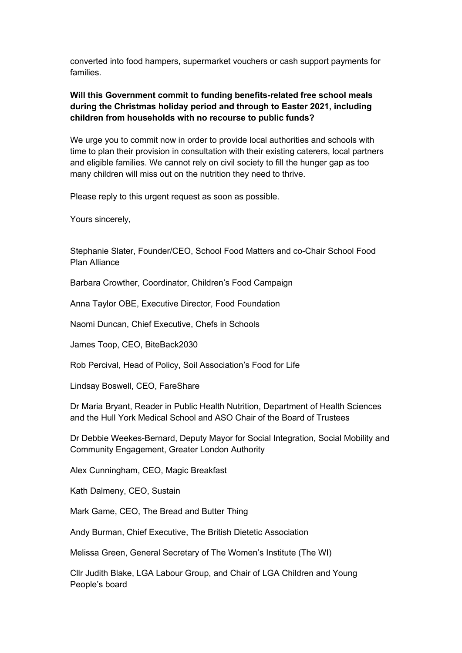converted into food hampers, supermarket vouchers or cash support payments for families.

## **Will this Government commit to funding benefits-related free school meals during the Christmas holiday period and through to Easter 2021, including children from households with no recourse to public funds?**

We urge you to commit now in order to provide local authorities and schools with time to plan their provision in consultation with their existing caterers, local partners and eligible families. We cannot rely on civil society to fill the hunger gap as too many children will miss out on the nutrition they need to thrive.

Please reply to this urgent request as soon as possible.

Yours sincerely,

Stephanie Slater, Founder/CEO, School Food Matters and co-Chair School Food Plan Alliance

Barbara Crowther, Coordinator, Children's Food Campaign

Anna Taylor OBE, Executive Director, Food Foundation

Naomi Duncan, Chief Executive, Chefs in Schools

James Toop, CEO, BiteBack2030

Rob Percival, Head of Policy, Soil Association's Food for Life

Lindsay Boswell, CEO, FareShare

Dr Maria Bryant, Reader in Public Health Nutrition, Department of Health Sciences and the Hull York Medical School and ASO Chair of the Board of Trustees

Dr Debbie Weekes-Bernard, Deputy Mayor for Social Integration, Social Mobility and Community Engagement, Greater London Authority

Alex Cunningham, CEO, Magic Breakfast

Kath Dalmeny, CEO, Sustain

Mark Game, CEO, The Bread and Butter Thing

Andy Burman, Chief Executive, The British Dietetic Association

Melissa Green, General Secretary of The Women's Institute (The WI)

Cllr Judith Blake, LGA Labour Group, and Chair of LGA Children and Young People's board